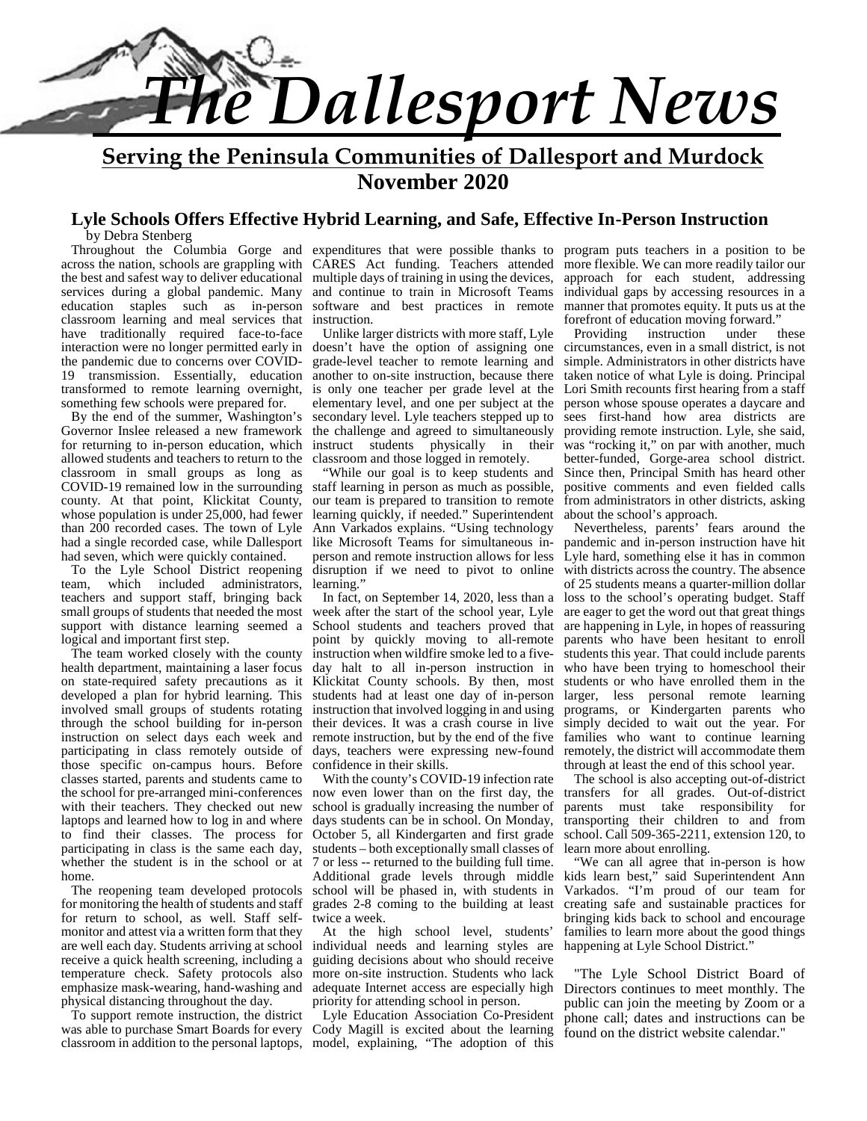

**Serving the Peninsula Communities of Dallesport and Murdock November 2020**

# **Lyle Schools Offers Effective Hybrid Learning, and Safe, Effective In-Person Instruction**

by Debra Stenberg

across the nation, schools are grappling with the best and safest way to deliver educational services during a global pandemic. Many education staples such as in-person classroom learning and meal services that have traditionally required face-to-face interaction were no longer permitted early in the pandemic due to concerns over COVID- 19 transmission. Essentially, education transformed to remote learning overnight, something few schools were prepared for.

By the end of the summer, Washington's Governor Inslee released a new framework for returning to in-person education, which allowed students and teachers to return to the classroom in small groups as long as COVID-19 remained low in the surrounding county. At that point, Klickitat County, whose population is under 25,000, had fewer than 200 recorded cases. The town of Lyle had a single recorded case, while Dallesport had seven, which were quickly contained.

To the Lyle School District reopening team, which included administrators, teachers and support staff, bringing back small groups of students that needed the most support with distance learning seemed a logical and important first step.

The team worked closely with the county health department, maintaining a laser focus on state-required safety precautions as it developed a plan for hybrid learning. This involved small groups of students rotating through the school building for in-person instruction on select days each week and participating in class remotely outside of those specific on-campus hours. Before classes started, parents and students came to the school for pre-arranged mini-conferences with their teachers. They checked out new laptops and learned how to log in and where to find their classes. The process for participating in class is the same each day, whether the student is in the school or at home.

The reopening team developed protocols for monitoring the health of students and staff for return to school, as well. Staff self monitor and attest via a written form that they are well each day. Students arriving at school receive a quick health screening, including a temperature check. Safety protocols also emphasize mask-wearing, hand-washing and physical distancing throughout the day.

To support remote instruction, the district was able to purchase Smart Boards for every multiple days of training in using the devices, and continue to train in Microsoft Teams software and best practices in remote instruction.

Unlike larger districts with more staff, Lyle Providing doesn't have the option of assigning one grade-level teacher to remote learning and another to on-site instruction, because there is only one teacher per grade level at the elementary level, and one per subject at the secondary level. Lyle teachers stepped up to the challenge and agreed to simultaneously instruct students physically in their classroom and those logged in remotely.

"While our goal is to keep students and staff learning in person as much as possible, our team is prepared to transition to remote learning quickly, if needed." Superintendent Ann Varkados explains. "Using technology like Microsoft Teams for simultaneous in person and remote instruction allows for less disruption if we need to pivot to online learning.'

In fact, on September 14, 2020, less than a week after the start of the school year, Lyle School students and teachers proved that point by quickly moving to all-remote instruction when wildfire smoke led to a five day halt to all in-person instruction in Klickitat County schools. By then, most students had at least one day of in-person instruction that involved logging in and using their devices. It was a crash course in live remote instruction, but by the end of the five days, teachers were expressing new-found confidence in their skills.

With the county's COVID-19 infection rate now even lower than on the first day, the school is gradually increasing the number of days students can be in school. On Monday, October 5, all Kindergarten and first grade students – both exceptionally small classes of 7 or less -- returned to the building full time. Additional grade levels through middle school will be phased in, with students in grades 2-8 coming to the building at least twice a week.

At the high school level, students' individual needs and learning styles are guiding decisions about who should receive more on-site instruction. Students who lack adequate Internet access are especially high priority for attending school in person.

classroom in addition to the personal laptops, model, explaining, "The adoption of this Lyle Education Association Co-President Cody Magill is excited about the learning

Throughout the Columbia Gorge and expenditures that were possible thanks to program puts teachers in a position to be CARES Act funding. Teachers attended more flexible. We can more readily tailor our approach for each student, addressing individual gaps by accessing resources in a manner that promotes equity. It puts us at the forefront of education moving forward."<br>Providing instruction under these

instruction circumstances, even in a small district, is not simple. Administrators in other districts have taken notice of what Lyle is doing. Principal Lori Smith recounts first hearing from a staff person whose spouse operates a daycare and sees first-hand how area districts are providing remote instruction. Lyle, she said, was "rocking it," on par with another, much better-funded, Gorge-area school district. Since then, Principal Smith has heard other positive comments and even fielded calls from administrators in other districts, asking about the school's approach.

Nevertheless, parents' fears around the pandemic and in-person instruction have hit Lyle hard, something else it has in common with districts across the country. The absence of 25 students means a quarter-million dollar loss to the school's operating budget. Staff are eager to get the word out that great things are happening in Lyle, in hopes of reassuring parents who have been hesitant to enroll students this year. That could include parents who have been trying to homeschool their students or who have enrolled them in the larger, less personal remote learning programs, or Kindergarten parents who simply decided to wait out the year. For families who want to continue learning remotely, the district will accommodate them through at least the end of this school year.

The school is also accepting out-of-district transfers for all grades. Out-of-district parents must take responsibility for transporting their children to and from school. Call 509-365-2211, extension 120, to learn more about enrolling.

"We can all agree that in-person is how kids learn best," said Superintendent Ann Varkados. "I'm proud of our team for creating safe and sustainable practices for bringing kids back to school and encourage families to learn more about the good things happening at Lyle School District."

"The Lyle School District Board of Directors continues to meet monthly. The public can join the meeting by Zoom or a phone call; dates and instructions can be found on the district website calendar."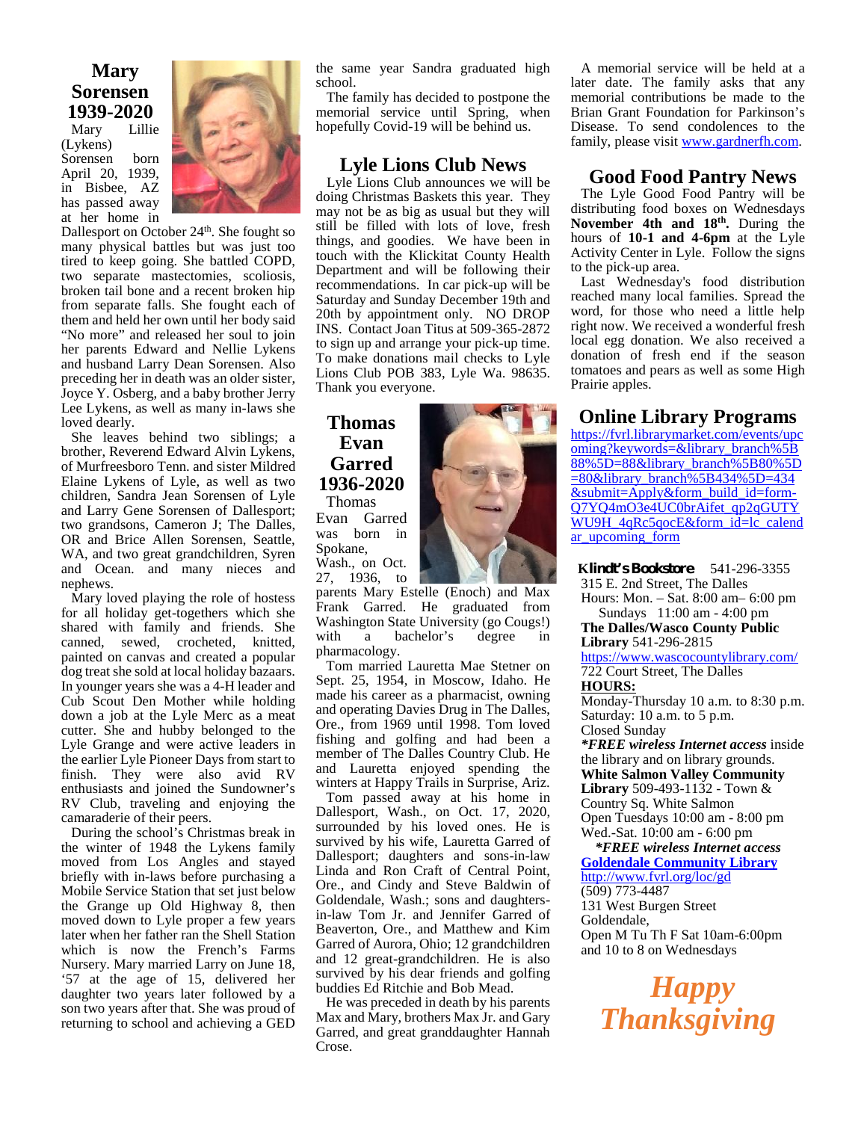# **Mary Sorensen 1939-2020**

Lillie (Lykens) Sorensen born April 20, 1939, in Bisbee, AZ has passed away at her home in



Dallesport on October 24<sup>th</sup>. She fought so many physical battles but was just too tired to keep going. She battled COPD, two separate mastectomies, scoliosis, broken tail bone and a recent broken hip from separate falls. She fought each of them and held her own until her body said "No more" and released her soul to join her parents Edward and Nellie Lykens and husband Larry Dean Sorensen. Also preceding her in death was an older sister, Joyce Y. Osberg, and a baby brother Jerry Lee Lykens, as well as many in-laws she loved dearly.

She leaves behind two siblings; a brother, Reverend Edward Alvin Lykens, of Murfreesboro Tenn. and sister Mildred Elaine Lykens of Lyle, as well as two children, Sandra Jean Sorensen of Lyle and Larry Gene Sorensen of Dallesport; two grandsons, Cameron J; The Dalles, OR and Brice Allen Sorensen, Seattle, WA, and two great grandchildren, Syren and Ocean. and many nieces and nephews.

Mary loved playing the role of hostess for all holiday get-togethers which she shared with family and friends. She was canned, sewed, crocheted, knitted, painted on canvas and created a popular dog treat she sold at local holiday bazaars. In younger years she was a 4-H leader and Cub Scout Den Mother while holding down a job at the Lyle Merc as a meat cutter. She and hubby belonged to the Lyle Grange and were active leaders in the earlier Lyle Pioneer Days from start to finish. They were also avid RV enthusiasts and joined the Sundowner's RV Club, traveling and enjoying the camaraderie of their peers.

During the school's Christmas break in the winter of 1948 the Lykens family moved from Los Angles and stayed briefly with in-laws before purchasing a Mobile Service Station that set just below the Grange up Old Highway 8, then moved down to Lyle proper a few years later when her father ran the Shell Station which is now the French's Farms Nursery. Mary married Larry on June 18, '57 at the age of 15, delivered her daughter two years later followed by a son two years after that. She was proud of returning to school and achieving a GED

the same year Sandra graduated high school.

The family has decided to postpone the memorial service until Spring, when hopefully Covid-19 will be behind us.

#### **Lyle Lions Club News**

Lyle Lions Club announces we will be doing Christmas Baskets this year. They may not be as big as usual but they will still be filled with lots of love, fresh things, and goodies. We have been in touch with the Klickitat County Health Department and will be following their recommendations. In car pick-up will be Saturday and Sunday December 19th and 20th by appointment only. NO DROP INS. Contact Joan Titus at 509-365-2872 to sign up and arrange your pick-up time. To make donations mail checks to Lyle Lions Club POB 383, Lyle Wa. 98635. Thank you everyone.

# **Thomas Evan Garred 1936-2020**

Thomas Evan Garred was born in Spokane, Wash., on Oct.

27, 1936, to parents Mary Estelle (Enoch) and Max Frank Garred. He graduated from Washington State University (go Cougs!)<br>with a bachelor's degree in bachelor's degree in pharmacology.

Tom married Lauretta Mae Stetner on Sept. 25, 1954, in Moscow, Idaho. He made his career as a pharmacist, owning and operating Davies Drug in The Dalles, Ore., from 1969 until 1998. Tom loved fishing and golfing and had been a member of The Dalles Country Club. He and Lauretta enjoyed spending the winters at Happy Trails in Surprise, Ariz.

Tom passed away at his home in Dallesport, Wash., on Oct. 17, 2020, surrounded by his loved ones. He is survived by his wife, Lauretta Garred of Dallesport; daughters and sons-in-law Linda and Ron Craft of Central Point, Ore., and Cindy and Steve Baldwin of Goldendale, Wash.; sons and daughtersin-law Tom Jr. and Jennifer Garred of Beaverton, Ore., and Matthew and Kim Garred of Aurora, Ohio; 12 grandchildren and 12 great-grandchildren. He is also survived by his dear friends and golfing buddies Ed Ritchie and Bob Mead.

He was preceded in death by his parents Max and Mary, brothers Max Jr. and Gary Garred, and great granddaughter Hannah Crose.

A memorial service will be held at a later date. The family asks that any memorial contributions be made to the Brian Grant Foundation for Parkinson's Disease. To send condolences to the family, please visit www.gardnerfh.com.

# **Good Food Pantry News**

The Lyle Good Food Pantry will be distributing food boxes on Wednesdays **November 4th and 18th .** During the hours of **10-1 and 4-6pm** at the Lyle Activity Center in Lyle. Follow the signs to the pick-up area.

Last Wednesday's food distribution reached many local families. Spread the word, for those who need a little help right now. We received a wonderful fresh local egg donation. We also received a donation of fresh end if the season tomatoes and pears as well as some High Prairie apples.

#### **Online Library Programs**

https://fvrl.librarymarket.com/events/upc oming?keywords=&library\_branch%5B 88%5D=88&library\_branch%5B80%5D =80&library\_branch%5B434%5D=434 &submit=Apply&form\_build\_id=form- Q7YQ4mO3e4UC0brAifet\_qp2qGUTY WU9H\_4qRc5qocE&form\_id=lc\_calend ar upcoming form

**Klindt's Bookstore** 541-296-3355 315 E. 2nd Street, The Dalles Hours: Mon. – Sat.8:00 am– 6:00 pm Sundays 11:00 am - 4:00 pm

**The Dalles/Wasco County Public Library** 541-296-2815

https://www.wascocountylibrary.com/ 722 Court Street, The Dalles

**HOURS:**

Monday-Thursday 10 a.m. to 8:30 p.m. Saturday: 10 a.m. to 5 p.m. Closed Sunday

*\*FREE wireless Internet access* inside the library and on library grounds. **White Salmon Valley Community Library** 509-493-1132 - Town & Country Sq. White Salmon Open Tuesdays 10:00 am - 8:00 pm Wed.-Sat. 10:00 am - 6:00 pm

*\*FREE wireless Internet access* **Goldendale Community Library** http://www.fvrl.org/loc/gd (509) 773-4487 131 West Burgen Street Goldendale, Open M Tu Th F Sat 10am-6:00pm and 10 to 8 on Wednesdays

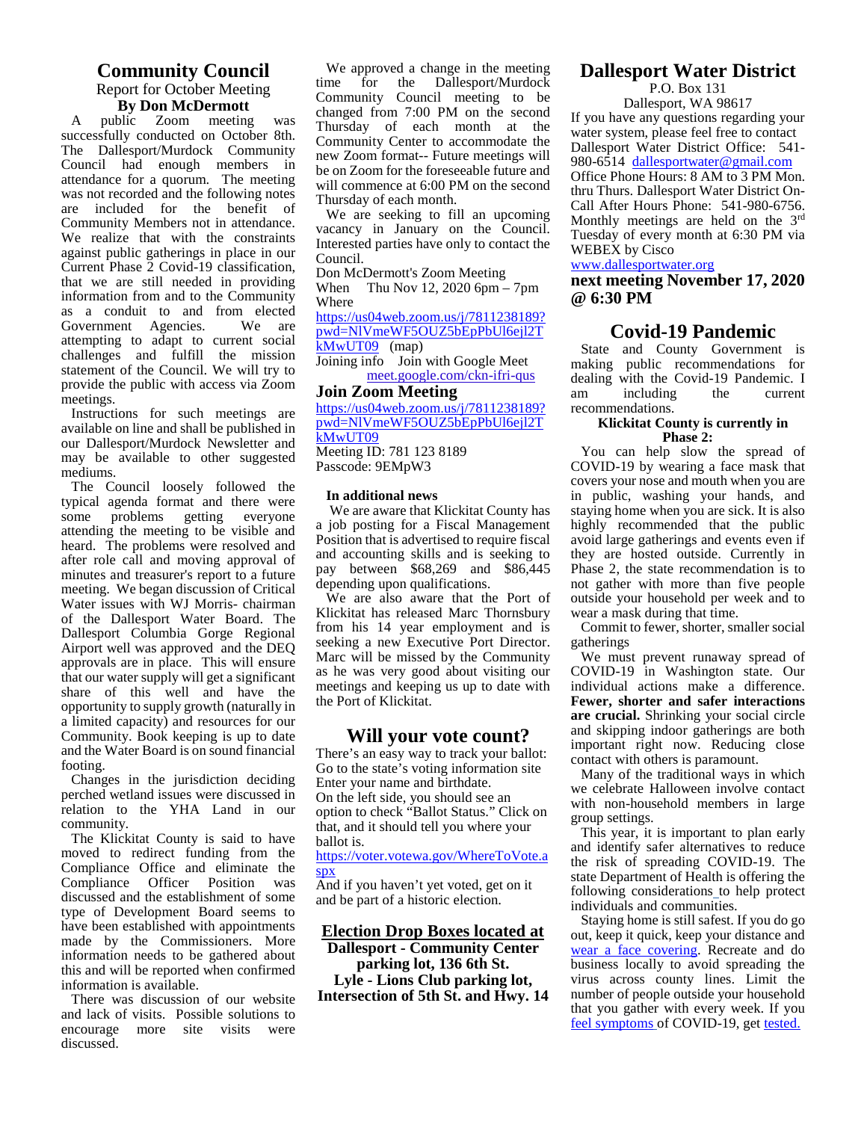#### **Community Council** Report for October Meeting filme **By Don McDermott**

A public Zoom meeting was successfully conducted on October 8th. The Dallesport/Murdock Community Council had enough members in  $\frac{new}{b}$ attendance for a quorum. The meeting  $\frac{60}{\text{will}}$ was not recorded and the following notes are included for the benefit of Community Members not in attendance. We realize that with the constraints against public gatherings in place in our Current Phase 2 Covid-19 classification, that we are still needed in providing information from and to the Community as a conduit to and from elected Government Agencies. attempting to adapt to current social challenges and fulfill the mission statement of the Council. We will try to provide the public with access via Zoom meetings.

Instructions for such meetings are available on line and shall be published in our Dallesport/Murdock Newsletter and may be available to other suggested mediums.

The Council loosely followed the typical agenda format and there were some problems getting everyone attending the meeting to be visible and heard. The problems were resolved and after role call and moving approval of minutes and treasurer's report to a future meeting. We began discussion of Critical Water issues with WJ Morris- chairman of the Dallesport Water Board. The Dallesport Columbia Gorge Regional Airport well was approved and the DEQ approvals are in place. This will ensure that our water supply will get a significant share of this well and have the opportunity to supply growth (naturally in a limited capacity) and resources for our Community. Book keeping is up to date and the Water Board is on sound financial footing.

Changes in the jurisdiction deciding perched wetland issues were discussed in relation to the YHA Land in our community.

The Klickitat County is said to have moved to redirect funding from the Compliance Office and eliminate the Compliance Officer Position was discussed and the establishment of some type of Development Board seems to have been established with appointments made by the Commissioners. More information needs to be gathered about this and will be reported when confirmed information is available.

There was discussion of our website and lack of visits. Possible solutions to encourage more site visits were discussed.

We approved a change in the meeting<br>me for the Dallesport/Murdock Dallesport/Murdock Community Council meeting to be changed from 7:00 PM on the second Thursday of each month at the Community Center to accommodate the new Zoom format-- Future meetings will be on Zoom for the foreseeable future and will commence at 6:00 PM on the second Thursday of each month.

We are seeking to fill an upcoming vacancy in January on the Council. Interested parties have only to contact the Council.

Don McDermott's Zoom Meeting When Thu Nov 12, 2020  $6pm - 7pm$ Where

https://us04web.zoom.us/j/7811238189? pwd=NlVmeWF5OUZ5bEpPbUl6ejl2T  $kMwUT09$  (map)

Joining info Join with Google Meet meet.google.com/ckn-ifri-qus

# **Join Zoom Meeting**

https://us04web.zoom.us/j/7811238189? pwd=NlVmeWF5OUZ5bEpPbUl6ejl2T kMwUT09

Meeting ID: 781 123 8189 Passcode: 9EMpW3

#### **In additional news**

We are aware that Klickitat County has a job posting for a Fiscal Management Position that is advertised to require fiscal and accounting skills and is seeking to pay between \$68,269 and \$86,445 depending upon qualifications.

We are also aware that the Port of Klickitat has released Marc Thornsbury from his 14 year employment and is seeking a new Executive Port Director. Marc will be missed by the Community as he was very good about visiting our meetings and keeping us up to date with the Port of Klickitat.

#### **Will your vote count?**

There's an easy way to track your ballot: Go to the state's voting information site Enter your name and birthdate. On the left side, you should see an option to check "Ballot Status." Click on  $\frac{m}{\alpha}$ that, and it should tell you where your ballot is.

https://voter.votewa.gov/WhereToVote.a spx

And if you haven't yet voted, get on it and be part of a historic election.

#### **Election Drop Boxes located at Dallesport - Community Center parking lot, 136 6th St. Lyle - Lions Club parking lot, Intersection of 5th St. and Hwy. 14**

# **Dallesport Water District**

P.O. Box 131 Dallesport, WA 98617

If you have any questions regarding your water system, please feel free to contact Dallesport Water District Office: 541- 980-6514 dallesportwater@gmail.com Office Phone Hours: 8 AM to 3 PM Mon. thru Thurs. Dallesport Water District On- Call After Hours Phone: 541-980-6756. Monthly meetings are held on the 3rd Tuesday of every month at 6:30 PM via WEBEX by Cisco

#### www.dallesportwater.org

**next meeting November 17, 2020 @ 6:30 PM**

#### **Covid-19 Pandemic**

State and County Government is making public recommendations for dealing with the Covid-19 Pandemic. I am including the current recommendations.

#### **Klickitat County is currently in Phase 2:**

You can help slow the spread of COVID-19 by wearing a face mask that covers your nose and mouth when you are in public, washing your hands, and staying home when you are sick. It is also highly recommended that the public avoid large gatherings and events even if they are hosted outside. Currently in Phase 2, the state recommendation is to not gather with more than five people outside your household per week and to wear a mask during that time.

Commit to fewer, shorter, smaller social gatherings

We must prevent runaway spread of COVID-19 in Washington state. Our individual actions make a difference. **Fewer, shorter and safer interactions are crucial.** Shrinking your social circle and skipping indoor gatherings are both important right now. Reducing close contact with others is paramount.

Many of the traditional ways in which we celebrate Halloween involve contact with non-household members in large group settings.

This year, it is important to plan early and identify safer alternatives to reduce the risk of spreading COVID-19. The state Department of Health is offering the following considerations to help protect individuals and communities.

Staying home is still safest. If you do go out, keep it quick, keep your distance and wear a face covering. Recreate and do business locally to avoid spreading the virus across county lines. Limit the number of people outside your household that you gather with every week. If you feel symptoms of COVID-19, get tested.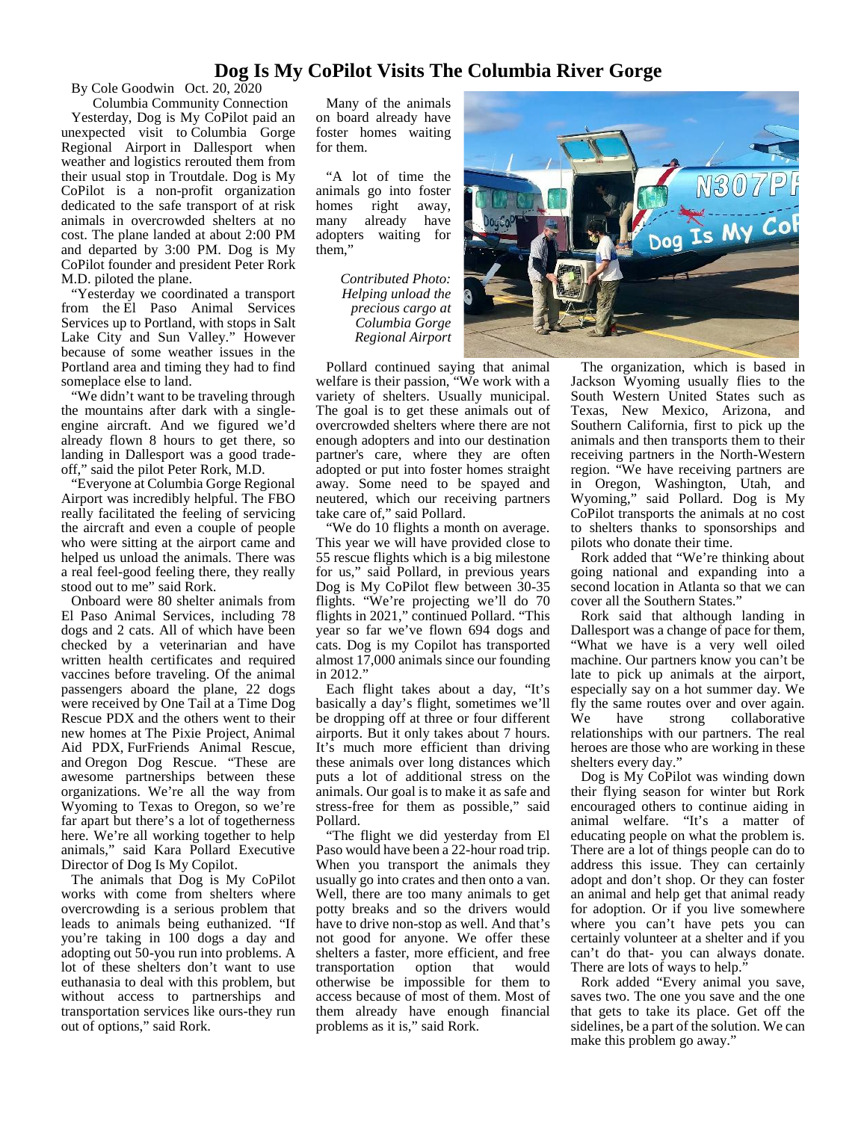#### **Dog Is My CoPilot Visits The Columbia River Gorge**

By Cole Goodwin Oct. 20, 2020

Columbia Community Connection Yesterday, Dog is My CoPilot paid an unexpected visit to Columbia Gorge Regional Airport in Dallesport when weather and logistics rerouted them from their usual stop in Troutdale. Dog is My CoPilot is a non-profit organization dedicated to the safe transport of at risk animals in overcrowded shelters at no cost. The plane landed at about 2:00 PM and departed by 3:00 PM. Dog is My CoPilot founder and president Peter Rork M.D. piloted the plane.

"Yesterday we coordinated a transport from the El Paso Animal Services Services up to Portland, with stops in Salt Lake City and Sun Valley." However because of some weather issues in the Portland area and timing they had to find someplace else to land.

"We didn't want to be traveling through the mountains after dark with a single engine aircraft. And we figured we'd already flown 8 hours to get there, so landing in Dallesport was a good trade off," said the pilot Peter Rork, M.D.

"Everyone at Columbia Gorge Regional Airport was incredibly helpful. The FBO really facilitated the feeling of servicing the aircraft and even a couple of people who were sitting at the airport came and helped us unload the animals. There was a real feel-good feeling there, they really stood out to me" said Rork.

Onboard were 80 shelter animals from El Paso Animal Services, including 78 dogs and 2 cats. All of which have been checked by a veterinarian and have written health certificates and required vaccines before traveling. Of the animal passengers aboard the plane, 22 dogs were received by One Tail at a Time Dog Rescue PDX and the others went to their new homes at The Pixie Project, Animal Aid PDX, FurFriends Animal Rescue, and Oregon Dog Rescue. "These are awesome partnerships between these organizations. We're all the way from Wyoming to Texas to Oregon, so we're far apart but there's a lot of togetherness here. We're all working together to help animals," said Kara Pollard Executive Director of Dog Is My Copilot.

The animals that Dog is My CoPilot works with come from shelters where overcrowding is a serious problem that leads to animals being euthanized. "If you're taking in 100 dogs a day and adopting out 50-you run into problems. A lot of these shelters don't want to use euthanasia to deal with this problem, but without access to partnerships and transportation services like ours-they run out of options," said Rork.

Many of the animals on board already have foster homes waiting for them.

"A lot of time the animals go into foster homes right away, many already have adopters waiting for them,"

> *Contributed Photo: Helping unload the precious cargo at Columbia Gorge Regional Airport*



Pollard continued saying that animal welfare is their passion, "We work with a variety of shelters. Usually municipal. The goal is to get these animals out of overcrowded shelters where there are not enough adopters and into our destination partner's care, where they are often adopted or put into foster homes straight away. Some need to be spayed and neutered, which our receiving partners take care of," said Pollard.

"We do 10 flights a month on average. This year we will have provided close to 55 rescue flights which is a big milestone for us," said Pollard, in previous years Dog is My CoPilot flew between 30-35 flights. "We're projecting we'll do 70 flights in 2021," continued Pollard. "This year so far we've flown 694 dogs and cats. Dog is my Copilot has transported almost 17,000 animals since our founding in 2012."

Each flight takes about a day, "It's basically a day's flight, sometimes we'll fly t<br>be dropping off at three or four different We be dropping off at three or four different airports. But it only takes about 7 hours. It's much more efficient than driving these animals over long distances which puts a lot of additional stress on the animals. Our goal is to make it as safe and stress-free for them as possible," said Pollard.

"The flight we did yesterday from El Paso would have been a 22-hour road trip. When you transport the animals they usually go into crates and then onto a van. Well, there are too many animals to get potty breaks and so the drivers would have to drive non-stop as well. And that's not good for anyone. We offer these shelters a faster, more efficient, and free transportation option that would otherwise be impossible for them to access because of most of them. Most of them already have enough financial problems as it is," said Rork.

The organization, which is based in Jackson Wyoming usually flies to the South Western United States such as Texas, New Mexico, Arizona, and Southern California, first to pick up the animals and then transports them to their receiving partners in the North-Western region. "We have receiving partners are in Oregon, Washington, Utah, and Wyoming," said Pollard. Dog is My CoPilot transports the animals at no cost to shelters thanks to sponsorships and pilots who donate their time.

Rork added that "We're thinking about going national and expanding into a second location in Atlanta so that we can cover all the Southern States."

Rork said that although landing in Dallesport was a change of pace for them, "What we have is a very well oiled machine. Our partners know you can't be late to pick up animals at the airport, especially say on a hot summer day. We fly the same routes over and over again.<br>We have strong collaborative collaborative relationships with our partners. The real heroes are those who are working in these shelters every day."

Dog is My CoPilot was winding down their flying season for winter but Rork encouraged others to continue aiding in animal welfare. "It's a matter of educating people on what the problem is. There are a lot of things people can do to address this issue. They can certainly adopt and don't shop. Or they can foster an animal and help get that animal ready for adoption. Or if you live somewhere where you can't have pets you can certainly volunteer at a shelter and if you can't do that- you can always donate. There are lots of ways to help."

Rork added "Every animal you save, saves two. The one you save and the one that gets to take its place. Get off the sidelines, be a part of the solution. We can make this problem go away."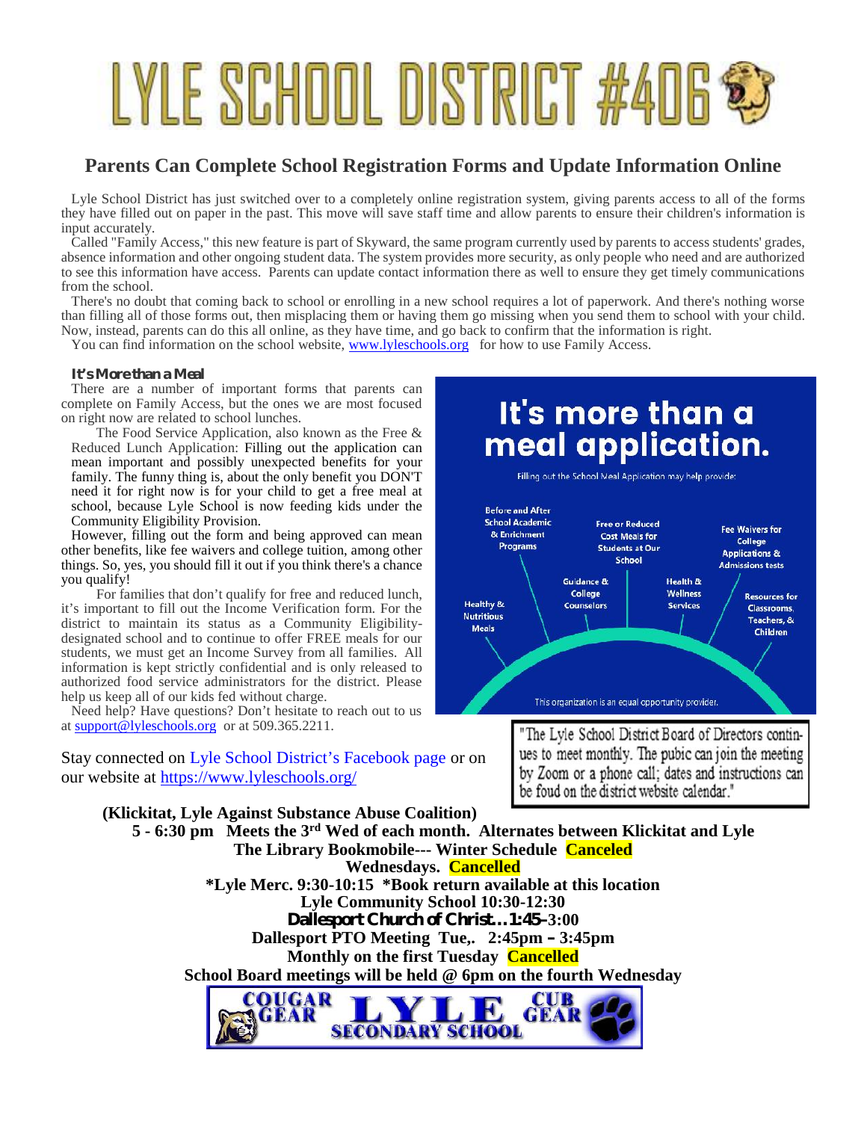# LYLE SCHOOL DISTRICT #406 \$

# **Parents Can Complete School Registration Forms and Update Information Online**

Lyle School District has just switched over to a completely online registration system, giving parents access to all of the forms they have filled out on paper in the past. This move will save staff time and allow parents to ensure their children's information is input accurately.

Called "Family Access," this new feature is part of Skyward, the same program currently used by parents to access students' grades, absence information and other ongoing student data. The system provides more security, as only people who need and are authorized to see this information have access. Parents can update contact information there as well to ensure they get timely communications from the school.

There's no doubt that coming back to school or enrolling in a new school requires a lot of paperwork. And there's nothing worse than filling all of those forms out, then misplacing them or having them go missing when you send them to school with your child. Now, instead, parents can do this all online, as they have time, and go back to confirm that the information is right.

You can find information on the school website, www.lyleschools.org for how to use Family Access.

#### **It's More than a Meal**

There are a number of important forms that parents can complete on Family Access, but the ones we are most focused on right now are related to school lunches.

Reduced Lunch Application: Filling out the application can mean important and possibly unexpected benefits for your family. The funny thing is, about the only benefit you DON'T need it for right now is for your child to get a free meal at school, because Lyle School is now feeding kids under the Community Eligibility Provision.

However, filling out the form and being approved can mean other benefits, like fee waivers and college tuition, among other things. So, yes, you should fill it out if you think there's a chance you qualify!

For families that don't qualify for free and reduced lunch, it's important to fill out the Income Verification form. For the district to maintain its status as a Community Eligibility designated school and to continue to offer FREE meals for our students, we must get an Income Survey from all families. All information is kept strictly confidential and is only released to authorized food service administrators for the district. Please help us keep all of our kids fed without charge.

Need help? Have questions? Don't hesitate to reach out to us at support@lyleschools.org or at 509.365.2211.

Stay connected on Lyle School District's Facebook page or on<br>our website at https://www.lyleschools.org/<br>by Zoom or a phone call; dates and instructions can our website at https://www.lyleschools.org/



Filling out the School Meal Application may help provide:



"The Lyle School District Board of Directors continbe foud on the district website calendar."

**(Klickitat, Lyle Against Substance Abuse Coalition) 5 - 6:30 pm Meets the 3rd Wed of each month. Alternates between Klickitat and Lyle The Library Bookmobile--- Winter Schedule Canceled Wednesdays. Cancelled \*Lyle Merc. 9:30-10:15 \*Book return available at this location Lyle Community School 10:30-12:30 Dallesport Church of Christ…1:45–3:00 Dallesport PTO Meeting Tue,. 2:45pm – 3:45pm Monthly on the first Tuesday Cancelled School Board meetings will be held @ 6pm on the fourth Wednesday**

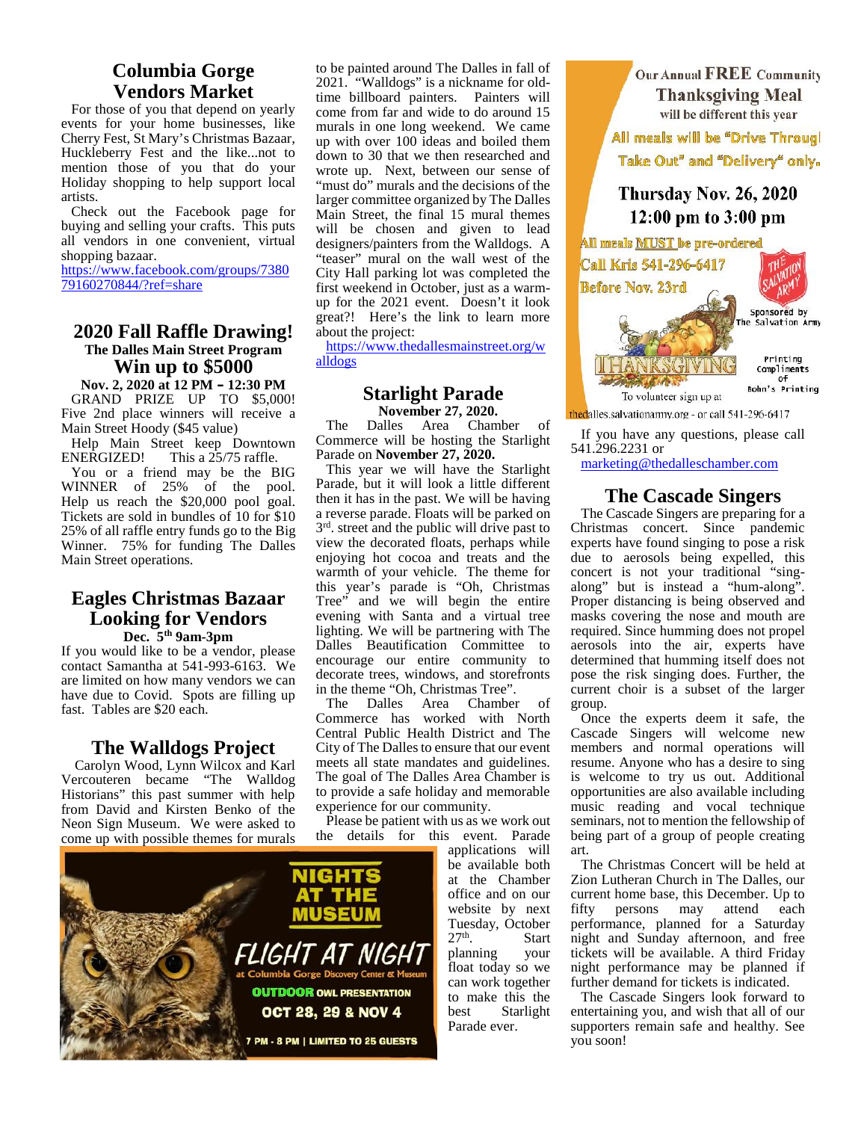# **Columbia Gorge Vendors Market**

For those of you that depend on yearly events for your home businesses, like Cherry Fest, St Mary's Christmas Bazaar, Huckleberry Fest and the like...not to mention those of you that do your Holiday shopping to help support local artists.

Check out the Facebook page for buying and selling your crafts. This puts all vendors in one convenient, virtual shopping bazaar.

https://www.facebook.com/groups/7380 79160270844/?ref=share

# **2020 Fall Raffle Drawing! The Dalles Main Street Program Win up to \$5000**

**Nov. 2, 2020 at 12 PM – 12:30 PM** GRAND PRIZE UP TO \$5,000! Five 2nd place winners will receive a<br>Main Street Hoody  $(\$45 \text{ value})$  The Main Street Hoody (\$45 value)

Help Main Street keep Downtown ENERGIZED! This a  $25/75$  raffle. You or a friend may be the BIG<br>
VINNER of 25% of the pool. WINNER of  $25\%$  of the Help us reach the \$20,000 pool goal. Tickets are sold in bundles of 10 for \$10 25% of all raffle entry funds go to the Big Winner. 75% for funding The Dalles Main Street operations.

#### **Eagles Christmas Bazaar Looking for Vendors Dec. 5th 9am-3pm**

If you would like to be a vendor, please contact Samantha at 541-993-6163. We are limited on how many vendors we can have due to Covid. Spots are filling up fast. Tables are \$20 each.

#### **The Walldogs Project**

Carolyn Wood, Lynn Wilcox and Karl Vercouteren became "The Walldog Historians" this past summer with help from David and Kirsten Benko of the Neon Sign Museum. We were asked to come up with possible themes for murals



https://www.thedallesmainstreet.org/w alldogs

#### **Starlight Parade November 27, 2020.**

**November 27, 2020. the dalles salvationarmy org** - or call 541-296-6417<br>Dalles Area Chamber of Commerce will be hosting the Starlight Parade on **November 27, 2020.**

This year we will have the Starlight Parade, but it will look a little different then it has in the past. We will be having a reverse parade. Floats will be parked on  $3<sup>rd</sup>$ . street and the public will drive past to Chris view the decorated floats, perhaps while enjoying hot cocoa and treats and the warmth of your vehicle. The theme for this year's parade is "Oh, Christmas Tree" and we will begin the entire evening with Santa and a virtual tree lighting. We will be partnering with The Dalles Beautification Committee to encourage our entire community to decorate trees, windows, and storefronts in the theme "Oh, Christmas Tree".

The Dalles Area Chamber of gro Commerce has worked with North Central Public Health District and The City of The Dalles to ensure that our event meets all state mandates and guidelines. The goal of The Dalles Area Chamber is to provide a safe holiday and memorable experience for our community.

Please be patient with us as we work out the details for this event. Parade applications will

 $27<sup>th</sup>$ .

be available both at the Chamber office and on our website by next Tuesday, October

planning your float today so we can work together to make this the best Starlight Parade ever.

. Start





If you have any questions, please call 541.296.2231 or

marketing@thedalleschamber.com

#### **The Cascade Singers**

The Cascade Singers are preparing for a Christmas concert. Since pandemic experts have found singing to pose a risk due to aerosols being expelled, this concert is not your traditional "sing along" but is instead a "hum-along". Proper distancing is being observed and masks covering the nose and mouth are required. Since humming does not propel aerosols into the air, experts have determined that humming itself does not pose the risk singing does. Further, the current choir is a subset of the larger group.

Once the experts deem it safe, the Cascade Singers will welcome new members and normal operations will resume. Anyone who has a desire to sing is welcome to try us out. Additional opportunities are also available including music reading and vocal technique seminars, not to mention the fellowship of being part of a group of people creating art.

The Christmas Concert will be held at Zion Lutheran Church in The Dalles, our current home base, this December. Up to fifty persons may attend each performance, planned for a Saturday night and Sunday afternoon, and free tickets will be available. A third Friday night performance may be planned if further demand for tickets is indicated.

The Cascade Singers look forward to entertaining you, and wish that all of our supporters remain safe and healthy. See you soon!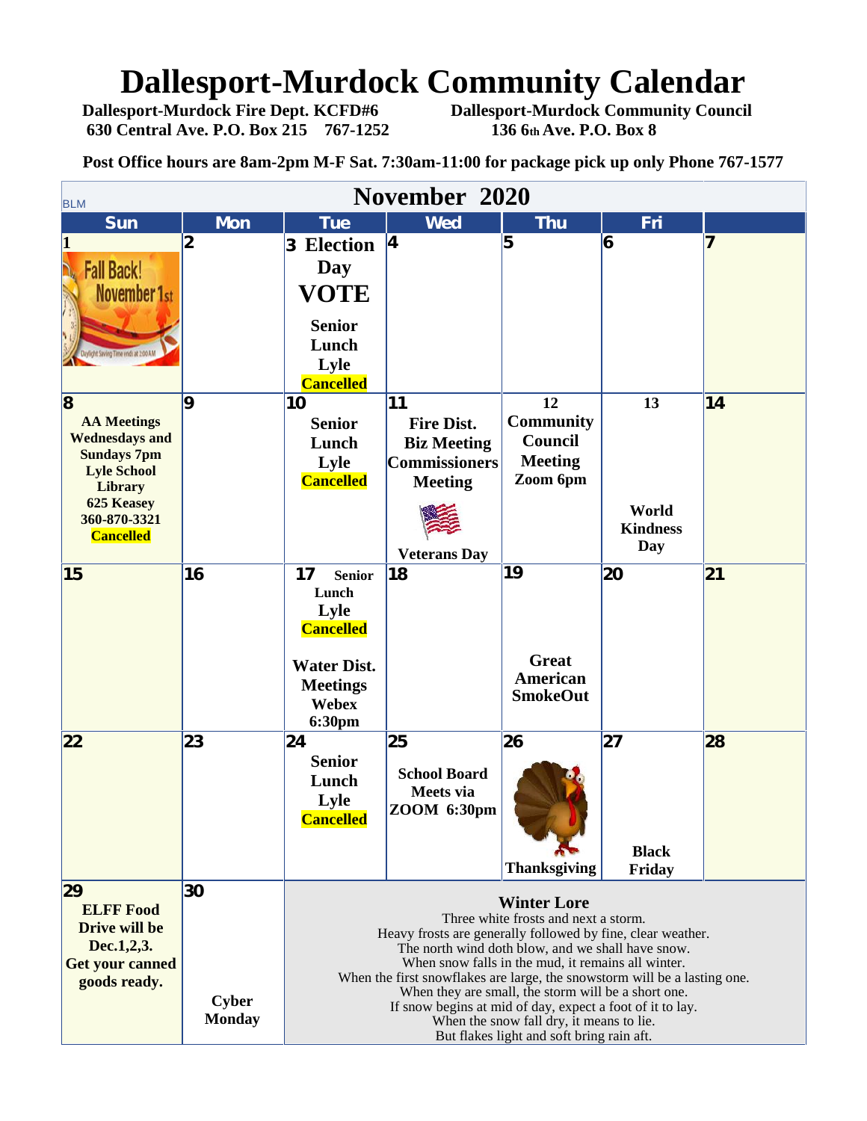# **Dallesport-Murdock Community Calendar**<br>Dallesport-Murdock Fire Dept. KCFD#6 Dallesport-Murdock Community Council

**630 Central Ave. P.O. Box 215 767-1252 136 6th Ave. P.O. Box 8**

**Dallesport-Murdock Community Council** 

**Post Office hours are 8am-2pm M-F Sat. 7:30am-11:00 for package pick up only Phone 767-1577**

| November 2020<br><b>BLM</b>                                                                      |                               |                                                                                                                                                                                                                                                                                                                                                                          |                                                                 |                                                      |                              |    |  |  |  |  |
|--------------------------------------------------------------------------------------------------|-------------------------------|--------------------------------------------------------------------------------------------------------------------------------------------------------------------------------------------------------------------------------------------------------------------------------------------------------------------------------------------------------------------------|-----------------------------------------------------------------|------------------------------------------------------|------------------------------|----|--|--|--|--|
| <b>Sun</b>                                                                                       | <b>Mon</b>                    | <b>Tue</b>                                                                                                                                                                                                                                                                                                                                                               | <b>Wed</b>                                                      | <b>Thu</b>                                           | Fri                          |    |  |  |  |  |
| $\vert 1 \vert$<br><b>Fall Back!</b>                                                             | 2                             | <b>Election</b><br>3<br>Day                                                                                                                                                                                                                                                                                                                                              | <b>4</b>                                                        | 5                                                    | 6                            | 7  |  |  |  |  |
| <b>November 1st</b><br>ing Time ends at 2:00 AM                                                  |                               | <b>VOTE</b><br><b>Senior</b><br>Lunch<br>Lyle<br><b>Cancelled</b>                                                                                                                                                                                                                                                                                                        |                                                                 |                                                      |                              |    |  |  |  |  |
| $\overline{\mathbf{8}}$                                                                          | 9                             | 10                                                                                                                                                                                                                                                                                                                                                                       | 11                                                              | 12                                                   | 13                           | 14 |  |  |  |  |
| <b>AA Meetings</b><br><b>Wednesdays and</b><br><b>Sundays 7pm</b><br><b>Lyle School</b>          |                               | <b>Senior</b><br>Lunch<br>Lyle                                                                                                                                                                                                                                                                                                                                           | <b>Fire Dist.</b><br><b>Biz Meeting</b><br><b>Commissioners</b> | <b>Community</b><br><b>Council</b><br><b>Meeting</b> |                              |    |  |  |  |  |
| <b>Library</b><br><b>625 Keasey</b><br>360-870-3321                                              |                               | <b>Cancelled</b>                                                                                                                                                                                                                                                                                                                                                         | <b>Meeting</b>                                                  | Zoom 6pm                                             | World<br><b>Kindness</b>     |    |  |  |  |  |
| <b>Cancelled</b>                                                                                 |                               |                                                                                                                                                                                                                                                                                                                                                                          | <b>Veterans Day</b>                                             |                                                      | Day                          |    |  |  |  |  |
| 15                                                                                               | 16                            | 17<br><b>Senior</b><br>Lunch<br>Lyle<br><b>Cancelled</b>                                                                                                                                                                                                                                                                                                                 | 18                                                              | 19                                                   | 20                           | 21 |  |  |  |  |
|                                                                                                  |                               | <b>Water Dist.</b><br><b>Meetings</b><br>Webex<br>6:30pm                                                                                                                                                                                                                                                                                                                 |                                                                 | <b>Great</b><br>American<br><b>SmokeOut</b>          |                              |    |  |  |  |  |
| 22                                                                                               | 23                            | 24<br><b>Senior</b><br>Lunch<br>Lyle<br><b>Cancelled</b>                                                                                                                                                                                                                                                                                                                 | 25<br><b>School Board</b><br>Meets via<br>ZOOM 6:30pm           | 26<br><b>Thanksgiving</b>                            | 27<br><b>Black</b><br>Friday | 28 |  |  |  |  |
| 29                                                                                               | 30                            |                                                                                                                                                                                                                                                                                                                                                                          |                                                                 |                                                      |                              |    |  |  |  |  |
| <b>ELFF Food</b><br><b>Drive will be</b><br>Dec.1,2,3.<br><b>Get your canned</b><br>goods ready. |                               | <b>Winter Lore</b><br>Three white frosts and next a storm.<br>Heavy frosts are generally followed by fine, clear weather.<br>The north wind doth blow, and we shall have snow.<br>When snow falls in the mud, it remains all winter.<br>When the first snowflakes are large, the snowstorm will be a lasting one.<br>When they are small, the storm will be a short one. |                                                                 |                                                      |                              |    |  |  |  |  |
|                                                                                                  | <b>Cyber</b><br><b>Monday</b> | If snow begins at mid of day, expect a foot of it to lay.<br>When the snow fall dry, it means to lie.<br>But flakes light and soft bring rain aft.                                                                                                                                                                                                                       |                                                                 |                                                      |                              |    |  |  |  |  |